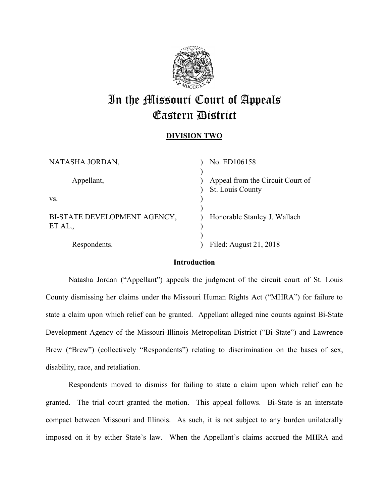

# In the Missouri Court of Appeals Eastern District

## **DIVISION TWO**

| NATASHA JORDAN,                         | No. ED106158                                         |
|-----------------------------------------|------------------------------------------------------|
| Appellant,                              | Appeal from the Circuit Court of<br>St. Louis County |
| VS.                                     |                                                      |
| BI-STATE DEVELOPMENT AGENCY,<br>ET AL., | Honorable Stanley J. Wallach                         |
| Respondents.                            | Filed: August 21, 2018                               |

## **Introduction**

Natasha Jordan ("Appellant") appeals the judgment of the circuit court of St. Louis County dismissing her claims under the Missouri Human Rights Act ("MHRA") for failure to state a claim upon which relief can be granted. Appellant alleged nine counts against Bi-State Development Agency of the Missouri-Illinois Metropolitan District ("Bi-State") and Lawrence Brew ("Brew") (collectively "Respondents") relating to discrimination on the bases of sex, disability, race, and retaliation.

Respondents moved to dismiss for failing to state a claim upon which relief can be granted. The trial court granted the motion. This appeal follows. Bi-State is an interstate compact between Missouri and Illinois. As such, it is not subject to any burden unilaterally imposed on it by either State's law. When the Appellant's claims accrued the MHRA and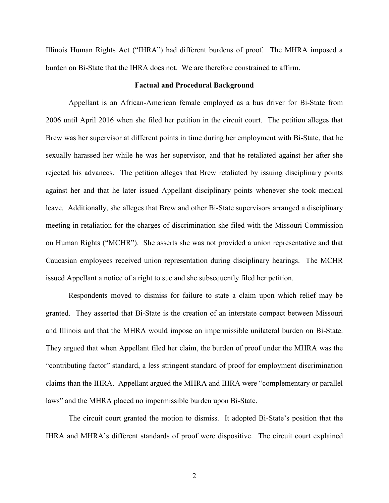Illinois Human Rights Act ("IHRA") had different burdens of proof. The MHRA imposed a burden on Bi-State that the IHRA does not. We are therefore constrained to affirm.

#### **Factual and Procedural Background**

Appellant is an African-American female employed as a bus driver for Bi-State from 2006 until April 2016 when she filed her petition in the circuit court. The petition alleges that Brew was her supervisor at different points in time during her employment with Bi-State, that he sexually harassed her while he was her supervisor, and that he retaliated against her after she rejected his advances. The petition alleges that Brew retaliated by issuing disciplinary points against her and that he later issued Appellant disciplinary points whenever she took medical leave. Additionally, she alleges that Brew and other Bi-State supervisors arranged a disciplinary meeting in retaliation for the charges of discrimination she filed with the Missouri Commission on Human Rights ("MCHR"). She asserts she was not provided a union representative and that Caucasian employees received union representation during disciplinary hearings. The MCHR issued Appellant a notice of a right to sue and she subsequently filed her petition.

Respondents moved to dismiss for failure to state a claim upon which relief may be granted. They asserted that Bi-State is the creation of an interstate compact between Missouri and Illinois and that the MHRA would impose an impermissible unilateral burden on Bi-State. They argued that when Appellant filed her claim, the burden of proof under the MHRA was the "contributing factor" standard, a less stringent standard of proof for employment discrimination claims than the IHRA. Appellant argued the MHRA and IHRA were "complementary or parallel laws" and the MHRA placed no impermissible burden upon Bi-State.

The circuit court granted the motion to dismiss. It adopted Bi-State's position that the IHRA and MHRA's different standards of proof were dispositive. The circuit court explained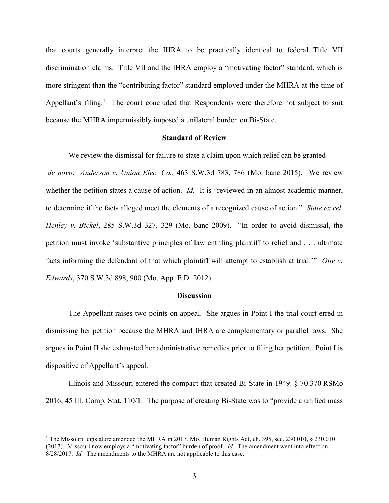that courts generally interpret the IHRA to be practically identical to federal Title VII discrimination claims. Title VII and the IHRA employ a "motivating factor" standard, which is more stringent than the "contributing factor" standard employed under the MHRA at the time of Appellant's filing.<sup>1</sup> The court concluded that Respondents were therefore not subject to suit because the MHRA impermissibly imposed a unilateral burden on Bi-State.

#### **Standard of Review**

We review the dismissal for failure to state a claim upon which relief can be granted *de novo*. *Anderson v. Union Elec. Co.*, 463 S.W.3d 783, 786 (Mo. banc 2015). We review whether the petition states a cause of action. *Id.* It is "reviewed in an almost academic manner, to determine if the facts alleged meet the elements of a recognized cause of action." *State ex rel. Henley v. Bickel*, 285 S.W.3d 327, 329 (Mo. banc 2009). "In order to avoid dismissal, the petition must invoke 'substantive principles of law entitling plaintiff to relief and . . . ultimate facts informing the defendant of that which plaintiff will attempt to establish at trial.'" *Otte v. Edwards*, 370 S.W.3d 898, 900 (Mo. App. E.D. 2012).

#### **Discussion**

The Appellant raises two points on appeal. She argues in Point I the trial court erred in dismissing her petition because the MHRA and IHRA are complementary or parallel laws. She argues in Point II she exhausted her administrative remedies prior to filing her petition. Point I is dispositive of Appellant's appeal.

Illinois and Missouri entered the compact that created Bi-State in 1949. § 70.370 RSMo 2016; 45 Ill. Comp. Stat. 110/1. The purpose of creating Bi-State was to "provide a unified mass

<sup>&</sup>lt;sup>1</sup> The Missouri legislature amended the MHRA in 2017. Mo. Human Rights Act, ch. 395, sec. 230.010, § 230.010 (2017). Missouri now employs a "motivating factor" burden of proof. *Id.* The amendment went into effect on 8/28/2017. *Id.* The amendments to the MHRA are not applicable to this case.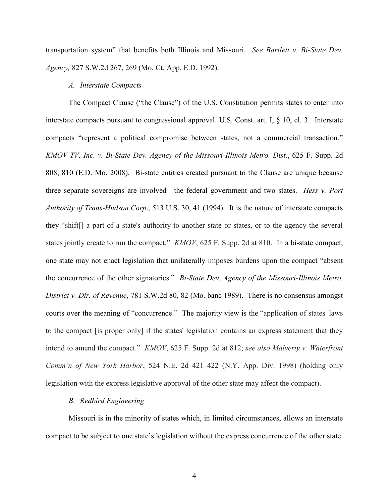transportation system" that benefits both Illinois and Missouri. *See Bartlett v. Bi-State Dev. Agency,* 827 S.W.2d 267, 269 (Mo. Ct. App. E.D. 1992).

#### *A. Interstate Compacts*

The Compact Clause ("the Clause") of the U.S. Constitution permits states to enter into interstate compacts pursuant to congressional approval. U.S. Const. art. I, § 10, cl. 3. Interstate compacts "represent a political compromise between states, not a commercial transaction." *KMOV TV, Inc. v. Bi-State Dev. Agency of the Missouri-Illinois Metro. Dist*., 625 F. Supp. 2d 808, 810 (E.D. Mo. 2008). Bi-state entities created pursuant to the Clause are unique because three separate sovereigns are involved—the federal government and two states. *Hess v. Port Authority of Trans-Hudson Corp*., 513 U.S. 30, 41 (1994). It is the nature of interstate compacts they "shift[] a part of a state's authority to another state or states, or to the agency the several states jointly create to run the compact." *KMOV*, 625 F. Supp. 2d at 810. In a bi-state compact, one state may not enact legislation that unilaterally imposes burdens upon the compact "absent the concurrence of the other signatories." *Bi-State Dev. Agency of the Missouri-Illinois Metro. District v. Dir. of Revenue*, 781 S.W.2d 80, 82 (Mo. banc 1989). There is no consensus amongst courts over the meaning of "concurrence." The majority view is the "application of states' laws to the compact [is proper only] if the states' legislation contains an express statement that they intend to amend the compact." *KMOV*, 625 F. Supp. 2d at 812; *see also Malverty v. Waterfront Comm'n of New York Harbor*, 524 N.E. 2d 421 422 (N.Y. App. Div. 1998) (holding only legislation with the express legislative approval of the other state may affect the compact).

### *B. Redbird Engineering*

Missouri is in the minority of states which, in limited circumstances, allows an interstate compact to be subject to one state's legislation without the express concurrence of the other state.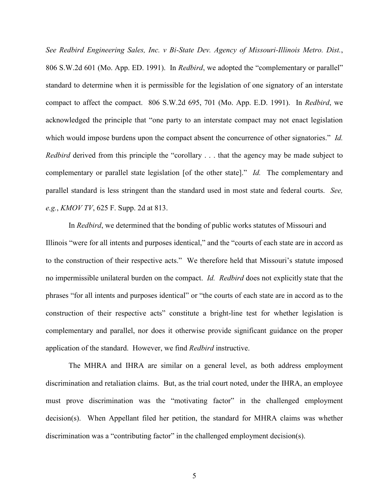*See Redbird Engineering Sales, Inc. v Bi-State Dev. Agency of Missouri-Illinois Metro. Dist.*, 806 S.W.2d 601 (Mo. App. ED. 1991). In *Redbird*, we adopted the "complementary or parallel" standard to determine when it is permissible for the legislation of one signatory of an interstate compact to affect the compact.806 S.W.2d 695, 701 (Mo. App. E.D. 1991). In *Redbird*, we acknowledged the principle that "one party to an interstate compact may not enact legislation which would impose burdens upon the compact absent the concurrence of other signatories." *Id. Redbird* derived from this principle the "corollary . . . that the agency may be made subject to complementary or parallel state legislation [of the other state]." *Id.* The complementary and parallel standard is less stringent than the standard used in most state and federal courts. *See, e.g.*, *KMOV TV*, 625 F. Supp. 2d at 813.

In *Redbird*, we determined that the bonding of public works statutes of Missouri and Illinois "were for all intents and purposes identical," and the "courts of each state are in accord as to the construction of their respective acts." We therefore held that Missouri's statute imposed no impermissible unilateral burden on the compact. *Id. Redbird* does not explicitly state that the phrases "for all intents and purposes identical" or "the courts of each state are in accord as to the construction of their respective acts" constitute a bright-line test for whether legislation is complementary and parallel, nor does it otherwise provide significant guidance on the proper application of the standard. However, we find *Redbird* instructive.

The MHRA and IHRA are similar on a general level, as both address employment discrimination and retaliation claims. But, as the trial court noted, under the IHRA, an employee must prove discrimination was the "motivating factor" in the challenged employment decision(s). When Appellant filed her petition, the standard for MHRA claims was whether discrimination was a "contributing factor" in the challenged employment decision(s).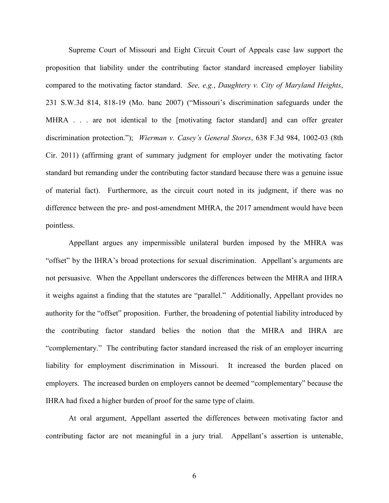Supreme Court of Missouri and Eight Circuit Court of Appeals case law support the proposition that liability under the contributing factor standard increased employer liability compared to the motivating factor standard. *See, e.g.*, *Daughtery v. City of Maryland Heights*, 231 S.W.3d 814, 818-19 (Mo. banc 2007) ("Missouri's discrimination safeguards under the MHRA . . . are not identical to the [motivating factor standard] and can offer greater discrimination protection."); *Wierman v. Casey's General Stores*, 638 F.3d 984, 1002-03 (8th Cir. 2011) (affirming grant of summary judgment for employer under the motivating factor standard but remanding under the contributing factor standard because there was a genuine issue of material fact). Furthermore, as the circuit court noted in its judgment, if there was no difference between the pre- and post-amendment MHRA, the 2017 amendment would have been pointless.

Appellant argues any impermissible unilateral burden imposed by the MHRA was "offset" by the IHRA's broad protections for sexual discrimination. Appellant's arguments are not persuasive. When the Appellant underscores the differences between the MHRA and IHRA it weighs against a finding that the statutes are "parallel." Additionally, Appellant provides no authority for the "offset" proposition. Further, the broadening of potential liability introduced by the contributing factor standard belies the notion that the MHRA and IHRA are "complementary." The contributing factor standard increased the risk of an employer incurring liability for employment discrimination in Missouri. It increased the burden placed on employers. The increased burden on employers cannot be deemed "complementary" because the IHRA had fixed a higher burden of proof for the same type of claim.

At oral argument, Appellant asserted the differences between motivating factor and contributing factor are not meaningful in a jury trial. Appellant's assertion is untenable,

6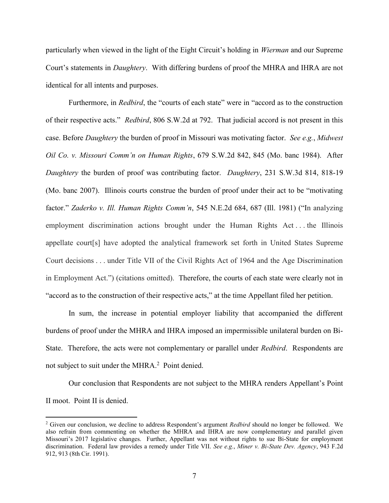particularly when viewed in the light of the Eight Circuit's holding in *Wierman* and our Supreme Court's statements in *Daughtery*. With differing burdens of proof the MHRA and IHRA are not identical for all intents and purposes.

Furthermore, in *Redbird*, the "courts of each state" were in "accord as to the construction of their respective acts." *Redbird*, 806 S.W.2d at 792. That judicial accord is not present in this case. Before *Daughtery* the burden of proof in Missouri was motivating factor. *See e.g.*, *Midwest Oil Co. v. Missouri Comm'n on Human Rights*, 679 S.W.2d 842, 845 (Mo. banc 1984). After *Daughtery* the burden of proof was contributing factor. *Daughtery*, 231 S.W.3d 814, 818-19 (Mo. banc 2007). Illinois courts construe the burden of proof under their act to be "motivating factor." *Zaderko v. Ill. Human Rights Comm'n*, 545 N.E.2d 684, 687 (Ill. 1981) ("In analyzing employment discrimination actions brought under the Human Rights Act . . . the Illinois appellate court[s] have adopted the analytical framework set forth in United States Supreme Court decisions . . . under Title VII of the Civil Rights Act of 1964 and the Age Discrimination in Employment Act.") (citations omitted). Therefore, the courts of each state were clearly not in "accord as to the construction of their respective acts," at the time Appellant filed her petition.

In sum, the increase in potential employer liability that accompanied the different burdens of proof under the MHRA and IHRA imposed an impermissible unilateral burden on Bi-State. Therefore, the acts were not complementary or parallel under *Redbird*. Respondents are not subject to suit under the MHRA.<sup>2</sup> Point denied.

Our conclusion that Respondents are not subject to the MHRA renders Appellant's Point II moot. Point II is denied.

 <sup>2</sup> Given our conclusion, we decline to address Respondent's argument *Redbird* should no longer be followed. We also refrain from commenting on whether the MHRA and IHRA are now complementary and parallel given Missouri's 2017 legislative changes. Further, Appellant was not without rights to sue Bi-State for employment discrimination. Federal law provides a remedy under Title VII. *See e.g.*, *Miner v. Bi-State Dev. Agency*, 943 F.2d 912, 913 (8th Cir. 1991).